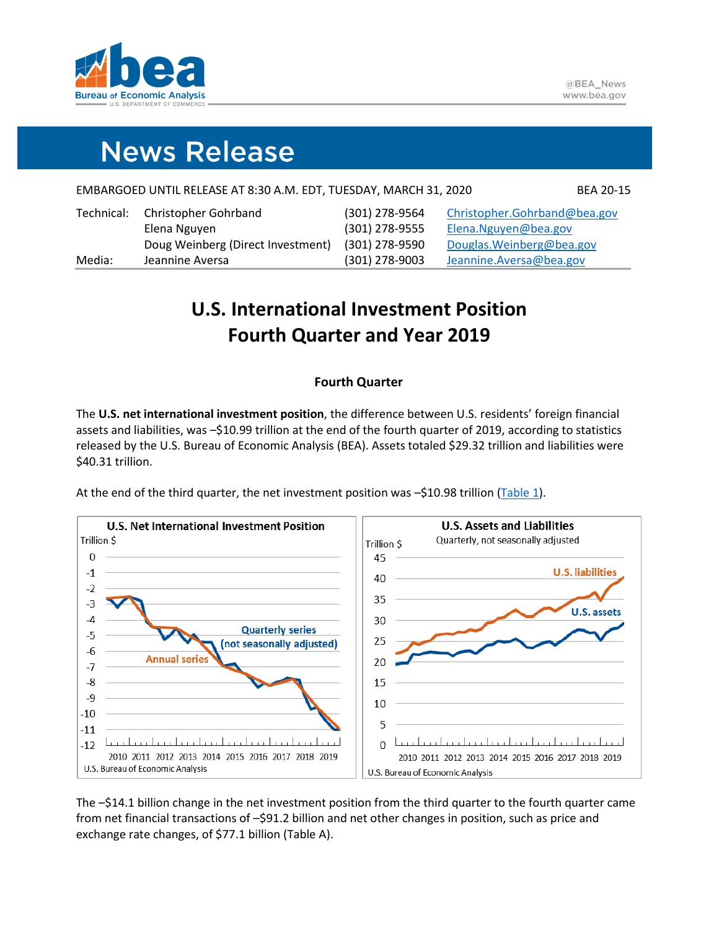

# **News Release**

|  | EMBARGOED UNTIL RELEASE AT 8:30 A.M. EDT, TUESDAY, MARCH 31, 2020 | <b>BEA 20-15</b> |
|--|-------------------------------------------------------------------|------------------|
|--|-------------------------------------------------------------------|------------------|

| Technical: | Christopher Gohrband              | (301) 278-9564 | Christopher.Gohrband@bea.gov |
|------------|-----------------------------------|----------------|------------------------------|
|            | Elena Nguyen                      | (301) 278-9555 | Elena.Nguyen@bea.gov         |
|            | Doug Weinberg (Direct Investment) | (301) 278-9590 | Douglas. Weinberg@bea.gov    |
| Media:     | Jeannine Aversa                   | (301) 278-9003 | Jeannine.Aversa@bea.gov      |

# **U.S. International Investment Position Fourth Quarter and Year 2019**

## **Fourth Quarter**

The **U.S. net international investment position**, the difference between U.S. residents' foreign financial assets and liabilities, was –\$10.99 trillion at the end of the fourth quarter of 2019, according to statistics released by the U.S. Bureau of Economic Analysis (BEA). Assets totaled \$29.32 trillion and liabilities were \$40.31 trillion.

At the end of the third quarter, the net investment position was –\$10.98 trillion [\(Table 1\)](#page-6-0).



The –\$14.1 billion change in the net investment position from the third quarter to the fourth quarter came from net financial transactions of –\$91.2 billion and net other changes in position, such as price and exchange rate changes, of \$77.1 billion (Table A).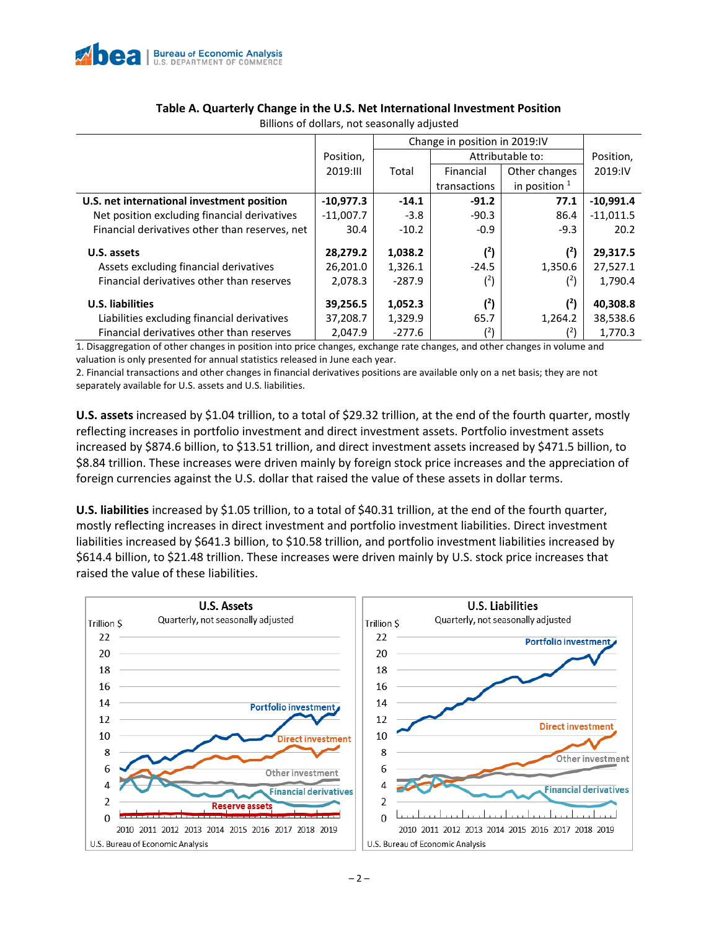

|                                                |             | Change in position in 2019:IV |                  |                 |             |  |
|------------------------------------------------|-------------|-------------------------------|------------------|-----------------|-------------|--|
|                                                | Position,   |                               | Attributable to: | Position,       |             |  |
|                                                | 2019:11     | Total                         | Financial        | Other changes   | 2019:IV     |  |
|                                                |             |                               | transactions     | in position $1$ |             |  |
| U.S. net international investment position     | $-10,977.3$ | $-14.1$                       | $-91.2$          | 77.1            | $-10,991.4$ |  |
| Net position excluding financial derivatives   | $-11,007.7$ | $-3.8$                        | $-90.3$          | 86.4            | $-11,011.5$ |  |
| Financial derivatives other than reserves, net | 30.4        | $-10.2$                       | $-0.9$           | $-9.3$          | 20.2        |  |
| U.S. assets                                    | 28,279.2    | 1,038.2                       | (2)              | (2)             | 29,317.5    |  |
| Assets excluding financial derivatives         | 26,201.0    | 1,326.1                       | $-24.5$          | 1.350.6         | 27,527.1    |  |
| Financial derivatives other than reserves      | 2,078.3     | $-287.9$                      | $(^{2})$         | (2)             | 1,790.4     |  |
| <b>U.S. liabilities</b>                        | 39,256.5    | 1,052.3                       | $(^{2})$         | $(^{2})$        | 40,308.8    |  |
| Liabilities excluding financial derivatives    | 37,208.7    | 1,329.9                       | 65.7             | 1,264.2         | 38,538.6    |  |
| Financial derivatives other than reserves      | 2,047.9     | $-277.6$                      | $^{(2)}$         | (4)             | 1,770.3     |  |

# **Table A. Quarterly Change in the U.S. Net International Investment Position**

Billions of dollars, not seasonally adjusted

1. Disaggregation of other changes in position into price changes, exchange rate changes, and other changes in volume and valuation is only presented for annual statistics released in June each year.

2. Financial transactions and other changes in financial derivatives positions are available only on a net basis; they are not separately available for U.S. assets and U.S. liabilities.

**U.S. assets** increased by \$1.04 trillion, to a total of \$29.32 trillion, at the end of the fourth quarter, mostly reflecting increases in portfolio investment and direct investment assets. Portfolio investment assets increased by \$874.6 billion, to \$13.51 trillion, and direct investment assets increased by \$471.5 billion, to \$8.84 trillion. These increases were driven mainly by foreign stock price increases and the appreciation of foreign currencies against the U.S. dollar that raised the value of these assets in dollar terms.

**U.S. liabilities** increased by \$1.05 trillion, to a total of \$40.31 trillion, at the end of the fourth quarter, mostly reflecting increases in direct investment and portfolio investment liabilities. Direct investment liabilities increased by \$641.3 billion, to \$10.58 trillion, and portfolio investment liabilities increased by \$614.4 billion, to \$21.48 trillion. These increases were driven mainly by U.S. stock price increases that raised the value of these liabilities.

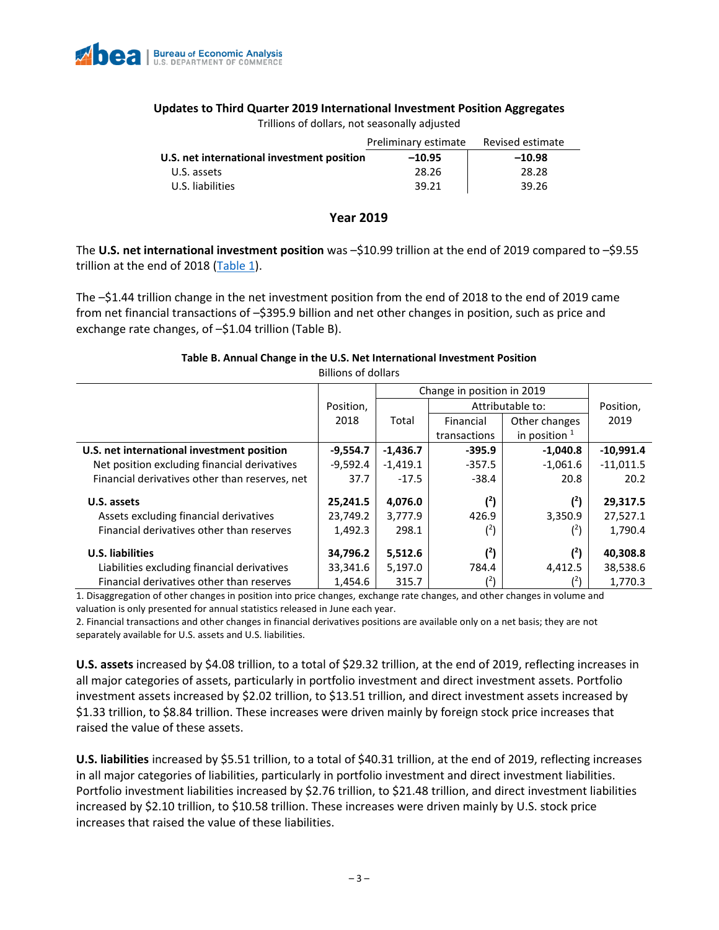

### **Updates to Third Quarter 2019 International Investment Position Aggregates**

Trillions of dollars, not seasonally adjusted

|                                            | Preliminary estimate | Revised estimate |
|--------------------------------------------|----------------------|------------------|
| U.S. net international investment position | $-10.95$             | $-10.98$         |
| U.S. assets                                | 28.26                | 28.28            |
| U.S. liabilities                           | 39.21                | 39.26            |

### **Year 2019**

The **U.S. net international investment position** was –\$10.99 trillion at the end of 2019 compared to –\$9.55 trillion at the end of 2018 [\(Table 1\)](#page-6-0).

The –\$1.44 trillion change in the net investment position from the end of 2018 to the end of 2019 came from net financial transactions of –\$395.9 billion and net other changes in position, such as price and exchange rate changes, of –\$1.04 trillion (Table B).

| <b>Billions of dollars</b> |       |                            |                 |      |
|----------------------------|-------|----------------------------|-----------------|------|
|                            |       | Change in position in 2019 |                 |      |
| Position,                  |       | Attributable to:           | Position,       |      |
| 2018                       | Total | Financial                  | Other changes   | 2019 |
|                            |       | transactions               | in position $1$ |      |

### **Table B. Annual Change in the U.S. Net International Investment Position**

**U.S. net international investment position -9,554.7 -1,436.7 -395.9 -1,040.8 -10,991.4** Net position excluding financial derivatives  $\begin{vmatrix} -9,592.4 & -1,419.1 \end{vmatrix}$  -357.5 -1,061.6 -11,011.5 Financial derivatives other than reserves, net  $\vert$  37.7  $\vert$  -17.5  $\vert$  -38.4  $\vert$  20.8 20.2

Assets excluding financial derivatives  $\begin{array}{|c|c|c|c|c|c|c|c|c|c|c|c|} \hline \text{A3350.9} & \text{A3350.9} & \text{A3350.9} & \text{A3350.9} \hline \end{array}$ 

Liabilities excluding financial derivatives  $\begin{array}{|l|l|l|l|} 33,341.6 & 5,197.0 & 784.4 & 4,412.5 & 38,538.6 \end{array}$ 

 $(2)$ 

 $(2)$ 

 $(2)$ 

2

**) (**

) (

**) (**

) (

 $(2)$ 

 $(2)$ 

 $(2)$ 

 $(2)$ 

**) 29,317.5**

) 1,790.4

**) 40,308.8**

) 1,770.3

1. Disaggregation of other changes in position into price changes, exchange rate changes, and other changes in volume and valuation is only presented for annual statistics released in June each year.

 **U.S. assets 25,241.5 4,076.0 (**

 **U.S. liabilities 34,796.2 5,512.6 (**

Financial derivatives other than reserves  $1,454.6$  315.7

Financial derivatives other than reserves  $\begin{array}{|c|c|c|c|c|c|} \hline 1,492.3 & 298.1 \hline \end{array}$ 

2. Financial transactions and other changes in financial derivatives positions are available only on a net basis; they are not separately available for U.S. assets and U.S. liabilities.

**U.S. assets** increased by \$4.08 trillion, to a total of \$29.32 trillion, at the end of 2019, reflecting increases in all major categories of assets, particularly in portfolio investment and direct investment assets. Portfolio investment assets increased by \$2.02 trillion, to \$13.51 trillion, and direct investment assets increased by \$1.33 trillion, to \$8.84 trillion. These increases were driven mainly by foreign stock price increases that raised the value of these assets.

**U.S. liabilities** increased by \$5.51 trillion, to a total of \$40.31 trillion, at the end of 2019, reflecting increases in all major categories of liabilities, particularly in portfolio investment and direct investment liabilities. Portfolio investment liabilities increased by \$2.76 trillion, to \$21.48 trillion, and direct investment liabilities increased by \$2.10 trillion, to \$10.58 trillion. These increases were driven mainly by U.S. stock price increases that raised the value of these liabilities.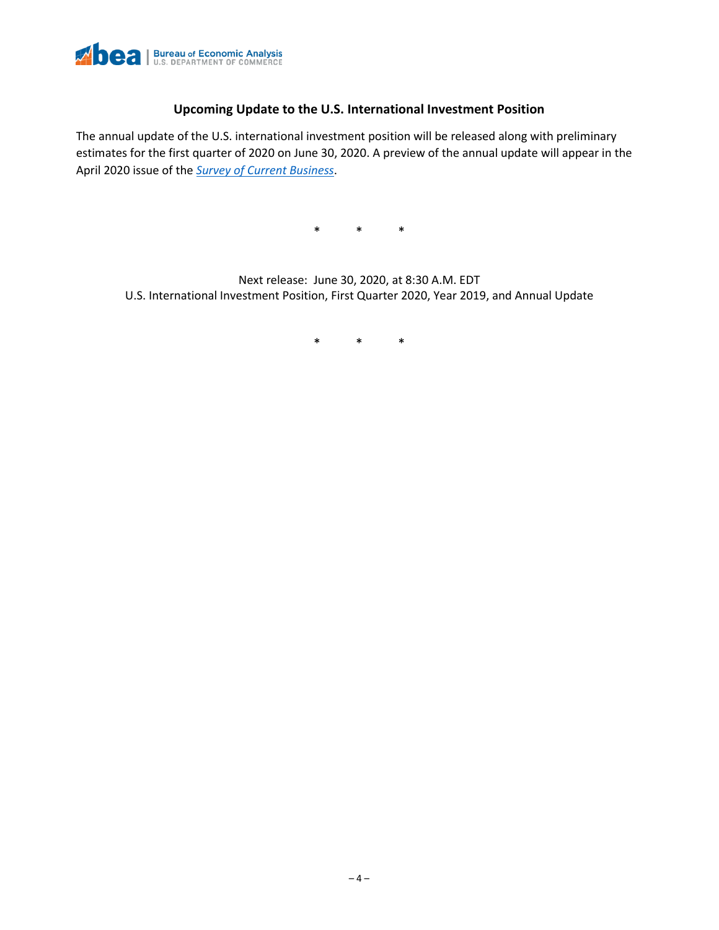

## **Upcoming Update to the U.S. International Investment Position**

The annual update of the U.S. international investment position will be released along with preliminary estimates for the first quarter of 2020 on June 30, 2020. A preview of the annual update will appear in the April 2020 issue of the *[Survey of Current Business](https://www.bea.gov/scb/index.htm)*.

\* \* \*

Next release: June 30, 2020, at 8:30 A.M. EDT U.S. International Investment Position, First Quarter 2020, Year 2019, and Annual Update

\* \* \*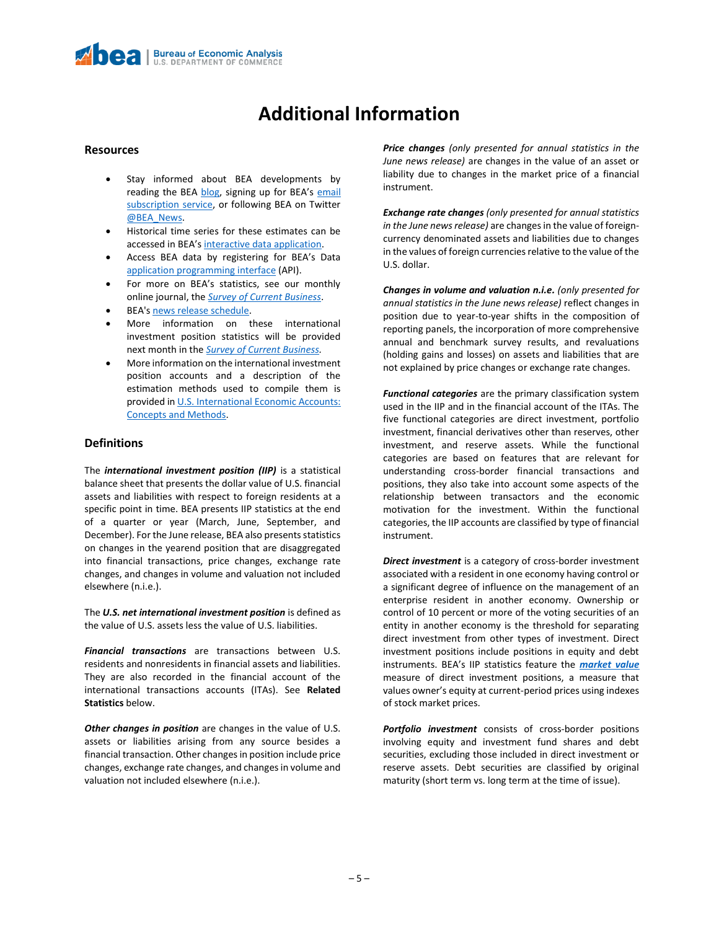# **Additional Information**

### **Resources**

- Stay informed about BEA developments by reading the BEA [blog](https://www.bea.gov/news/blog), signing up for BEA's email [subscription service,](https://www.bea.gov/_subscribe/) or following BEA on Twitter [@BEA\\_News.](https://www.twitter.com/BEA_News)
- Historical time series for these estimates can be accessed in BEA's [interactive data application.](https://apps.bea.gov/iTable/index_ita.cfm)
- Access BEA data by registering for BEA's Data [application programming interface](https://apps.bea.gov/API/signup/index.cfm) (API).
- For more on BEA's statistics, see our monthly online journal, the *[Survey of Current Business](https://apps.bea.gov/scb/index.htm)*.
- BEA'[s news release schedule.](https://www.bea.gov/news/schedule)
- More information on these international investment position statistics will be provided next month in the *[Survey of Current Business.](https://apps.bea.gov/scb/index.htm)*
- More information on the international investment position accounts and a description of the estimation methods used to compile them is provided in U.S. International Economic Accounts: [Concepts and Methods.](https://www.bea.gov/resources/methodologies/us-international-economic-accounts-concepts-methods)

### **Definitions**

The *international investment position (IIP)* is a statistical balance sheet that presents the dollar value of U.S. financial assets and liabilities with respect to foreign residents at a specific point in time. BEA presents IIP statistics at the end of a quarter or year (March, June, September, and December). For the June release, BEA also presents statistics on changes in the yearend position that are disaggregated into financial transactions, price changes, exchange rate changes, and changes in volume and valuation not included elsewhere (n.i.e.).

The *U.S. net international investment position* is defined as the value of U.S. assets less the value of U.S. liabilities.

*Financial transactions* are transactions between U.S. residents and nonresidents in financial assets and liabilities. They are also recorded in the financial account of the international transactions accounts (ITAs). See **Related Statistics** below.

*Other changes in position* are changes in the value of U.S. assets or liabilities arising from any source besides a financial transaction. Other changes in position include price changes, exchange rate changes, and changes in volume and valuation not included elsewhere (n.i.e.).

*Price changes (only presented for annual statistics in the June news release)* are changes in the value of an asset or liability due to changes in the market price of a financial instrument.

*Exchange rate changes (only presented for annual statistics in the June news release)* are changes in the value of foreigncurrency denominated assets and liabilities due to changes in the values of foreign currencies relative to the value of the U.S. dollar.

*Changes in volume and valuation n.i.e. (only presented for annual statistics in the June news release)* reflect changes in position due to year-to-year shifts in the composition of reporting panels, the incorporation of more comprehensive annual and benchmark survey results, and revaluations (holding gains and losses) on assets and liabilities that are not explained by price changes or exchange rate changes.

*Functional categories* are the primary classification system used in the IIP and in the financial account of the ITAs. The five functional categories are direct investment, portfolio investment, financial derivatives other than reserves, other investment, and reserve assets. While the functional categories are based on features that are relevant for understanding cross-border financial transactions and positions, they also take into account some aspects of the relationship between transactors and the economic motivation for the investment. Within the functional categories, the IIP accounts are classified by type of financial instrument.

*Direct investment* is a category of cross-border investment associated with a resident in one economy having control or a significant degree of influence on the management of an enterprise resident in another economy. Ownership or control of 10 percent or more of the voting securities of an entity in another economy is the threshold for separating direct investment from other types of investment. Direct investment positions include positions in equity and debt instruments. BEA's IIP statistics feature the *[market value](https://apps.bea.gov/international/pdf/market_value.pdf)* measure of direct investment positions, a measure that values owner's equity at current-period prices using indexes of stock market prices.

*Portfolio investment* consists of cross-border positions involving equity and investment fund shares and debt securities, excluding those included in direct investment or reserve assets. Debt securities are classified by original maturity (short term vs. long term at the time of issue).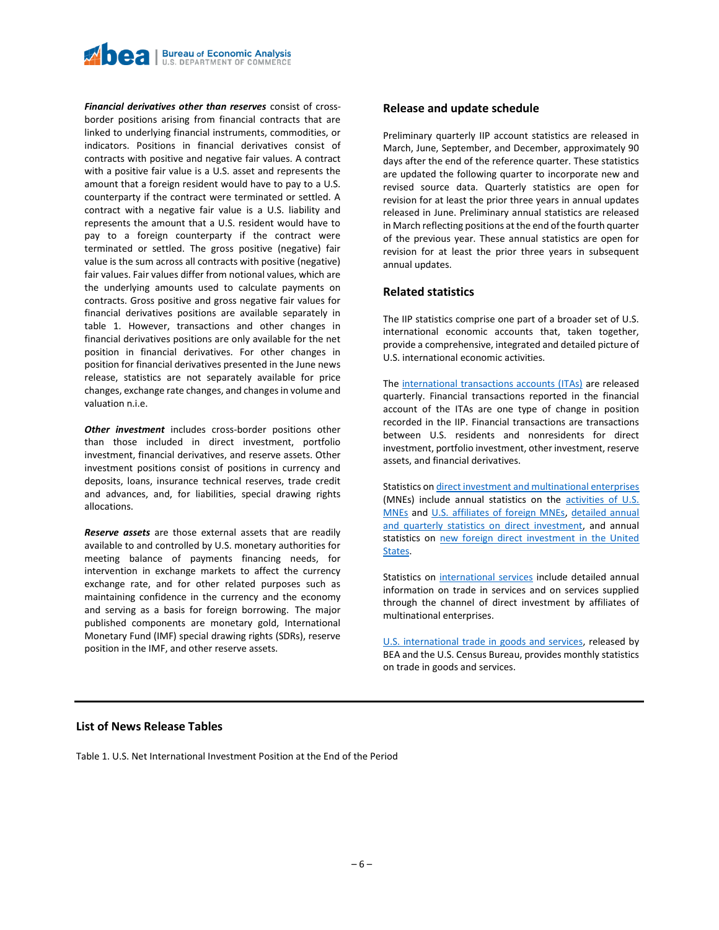

*Financial derivatives other than reserves* consist of crossborder positions arising from financial contracts that are linked to underlying financial instruments, commodities, or indicators. Positions in financial derivatives consist of contracts with positive and negative fair values. A contract with a positive fair value is a U.S. asset and represents the amount that a foreign resident would have to pay to a U.S. counterparty if the contract were terminated or settled. A contract with a negative fair value is a U.S. liability and represents the amount that a U.S. resident would have to pay to a foreign counterparty if the contract were terminated or settled. The gross positive (negative) fair value is the sum across all contracts with positive (negative) fair values. Fair values differ from notional values, which are the underlying amounts used to calculate payments on contracts. Gross positive and gross negative fair values for financial derivatives positions are available separately in table 1. However, transactions and other changes in financial derivatives positions are only available for the net position in financial derivatives. For other changes in position for financial derivatives presented in the June news release, statistics are not separately available for price changes, exchange rate changes, and changes in volume and valuation n.i.e.

*Other investment* includes cross-border positions other than those included in direct investment, portfolio investment, financial derivatives, and reserve assets. Other investment positions consist of positions in currency and deposits, loans, insurance technical reserves, trade credit and advances, and, for liabilities, special drawing rights allocations.

*Reserve assets* are those external assets that are readily available to and controlled by U.S. monetary authorities for meeting balance of payments financing needs, for intervention in exchange markets to affect the currency exchange rate, and for other related purposes such as maintaining confidence in the currency and the economy and serving as a basis for foreign borrowing. The major published components are monetary gold, International Monetary Fund (IMF) special drawing rights (SDRs), reserve position in the IMF, and other reserve assets.

### **Release and update schedule**

Preliminary quarterly IIP account statistics are released in March, June, September, and December, approximately 90 days after the end of the reference quarter. These statistics are updated the following quarter to incorporate new and revised source data. Quarterly statistics are open for revision for at least the prior three years in annual updates released in June. Preliminary annual statistics are released in March reflecting positions at the end of the fourth quarter of the previous year. These annual statistics are open for revision for at least the prior three years in subsequent annual updates.

### **Related statistics**

The IIP statistics comprise one part of a broader set of U.S. international economic accounts that, taken together, provide a comprehensive, integrated and detailed picture of U.S. international economic activities.

The [international transactions accounts](https://www.bea.gov/data/intl-trade-investment/international-transactions) (ITAs) are released quarterly. Financial transactions reported in the financial account of the ITAs are one type of change in position recorded in the IIP. Financial transactions are transactions between U.S. residents and nonresidents for direct investment, portfolio investment, other investment, reserve assets, and financial derivatives.

Statistics o[n direct investment and multinational enterprises](https://apps.bea.gov/iTable/index_MNC.cfm) (MNEs) include annual statistics on the [activities of U.S.](https://www.bea.gov/data/intl-trade-investment/activities-us-multinational-enterprises-mnes)  [MNEs](https://www.bea.gov/data/intl-trade-investment/activities-us-multinational-enterprises-mnes) and [U.S. affiliates of foreign MNEs,](https://www.bea.gov/data/intl-trade-investment/activities-us-affiliates-foreign-mnes) [detailed annual](https://www.bea.gov/products/direct-investment-country-and-industry)  [and quarterly statistics on direct investment,](https://www.bea.gov/products/direct-investment-country-and-industry) and annual statistics on [new foreign direct investment in the United](https://www.bea.gov/data/intl-trade-investment/new-foreign-direct-investment-united-states)  [States.](https://www.bea.gov/data/intl-trade-investment/new-foreign-direct-investment-united-states)

Statistics on [international services](https://www.bea.gov/data/intl-trade-investment/international-services-expanded) include detailed annual information on trade in services and on services supplied through the channel of direct investment by affiliates of multinational enterprises.

[U.S. international trade in goods and services,](https://www.bea.gov/data/intl-trade-investment/international-trade-goods-and-services) released by BEA and the U.S. Census Bureau, provides monthly statistics on trade in goods and services.

### **List of News Release Tables**

Table 1. U.S. Net International Investment Position at the End of the Period